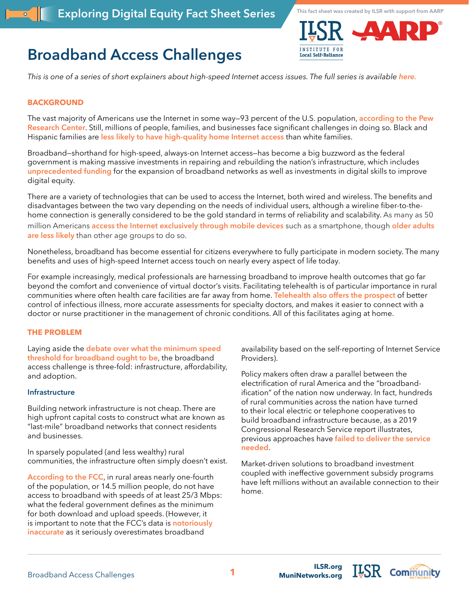# **Broadband Access Challenges**



**This fact sheet was created by ILSR with support from AARP**

*This is one of a series of short explainers about high-speed Internet access issues. The full series is available [here.](https://ilsr.org/exploring-digital-equity-fact-sheets)*

### **BACKGROUND**

The vast majority of Americans use the Internet in some way—93 percent of the U.S. population, **[according to the Pew](https://www.pewresearch.org/internet/fact-sheet/internet-broadband/)  [Research Center](https://www.pewresearch.org/internet/fact-sheet/internet-broadband/)**. Still, millions of people, families, and businesses face significant challenges in doing so. Black and Hispanic families are **[less likely to have high-quality home Internet access](https://www.pewresearch.org/fact-tank/2021/07/16/home-broadband-adoption-computer-ownership-vary-by-race-ethnicity-in-the-u-s/)** than white families.

Broadband—shorthand for high-speed, always-on Internet access—has become a big buzzword as the federal government is making massive investments in repairing and rebuilding the nation's infrastructure, which includes **[unprecedented funding](https://www.beyondtelecomlawblog.com/keller-and-heckmans-broadband-infrastructure-funding-blog-series/)** for the expansion of broadband networks as well as investments in digital skills to improve digital equity.

There are a variety of technologies that can be used to access the Internet, both wired and wireless. The benefits and disadvantages between the two vary depending on the needs of individual users, although a wireline fiber-to-thehome connection is generally considered to be the gold standard in terms of reliability and scalability. As many as 50 million Americans **[access the Internet exclusively through mobile devices](https://www.pewresearch.org/internet/fact-sheet/mobile/)** such as a smartphone, though **[older adults](https://www.pewresearch.org/internet/fact-sheet/mobile/)  [are less likely](https://www.pewresearch.org/internet/fact-sheet/mobile/)** than other age groups to do so.

Nonetheless, broadband has become essential for citizens everywhere to fully participate in modern society. The many benefits and uses of high-speed Internet access touch on nearly every aspect of life today.

For example increasingly, medical professionals are harnessing broadband to improve health outcomes that go far beyond the comfort and convenience of virtual doctor's visits. Facilitating telehealth is of particular importance in rural communities where often health care facilities are far away from home. **[Telehealth also offers the prospect](https://www.hopkinsmedicine.org/health/treatment-tests-and-therapies/benefits-of-telemedicine)** of better control of infectious illness, more accurate assessments for specialty doctors, and makes it easier to connect with a doctor or nurse practitioner in the management of chronic conditions. All of this facilitates aging at home.

### **THE PROBLEM**

Laying aside the **[debate over what the minimum speed](https://www.telecompetitor.com/the-absurdity-of-broadband-the-official-speed-definition-that-is/?utm_source=sendgrid&utm_medium=email&utm_campaign=Newsletters&mc_cid=a24425fd9b&mc_eid=fc2b6edb68)  [threshold for broadband ought to be](https://www.telecompetitor.com/the-absurdity-of-broadband-the-official-speed-definition-that-is/?utm_source=sendgrid&utm_medium=email&utm_campaign=Newsletters&mc_cid=a24425fd9b&mc_eid=fc2b6edb68)**, the broadband access challenge is three-fold: infrastructure, affordability, and adoption.

#### **Infrastructure**

Building network infrastructure is not cheap. There are high upfront capital costs to construct what are known as "last-mile" broadband networks that connect residents and businesses.

In sparsely populated (and less wealthy) rural communities, the infrastructure often simply doesn't exist.

**[According to the FCC](https://www.fcc.gov/reports-research/reports/broadband-progress-reports/eighth-broadband-progress-report)**, in rural areas nearly one-fourth of the population, or 14.5 million people, do not have access to broadband with speeds of at least 25/3 Mbps: what the federal government defines as the minimum for both download and upload speeds. (However, it is important to note that the FCC's data is **[notoriously](https://research.newamericaneconomy.org/report/internet-access-covid-19/)  [inaccurate](https://research.newamericaneconomy.org/report/internet-access-covid-19/)** as it seriously overestimates broadband

availability based on the self-reporting of Internet Service Providers).

Policy makers often draw a parallel between the electrification of rural America and the "broadbandification" of the nation now underway. In fact, hundreds of rural communities across the nation have turned to their local electric or telephone cooperatives to build broadband infrastructure because, as a 2019 Congressional Research Service report illustrates, previous approaches have **[failed to deliver the service](https://sgp.fas.org/crs/misc/R46108.pdf)  [needed](https://sgp.fas.org/crs/misc/R46108.pdf)**.

Market-driven solutions to broadband investment coupled with ineffective government subsidy programs have left millions without an available connection to their home.

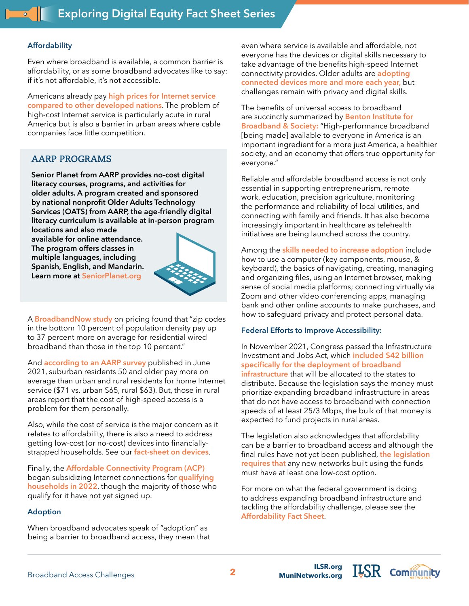# **Affordability**

Even where broadband is available, a common barrier is affordability, or as some broadband advocates like to say: if it's not affordable, it's not accessible.

Americans already pay **[high prices for Internet service](https://www.newamerica.org/oti/reports/cost-connectivity-2020/)  [compared to other developed nations](https://www.newamerica.org/oti/reports/cost-connectivity-2020/)**. The problem of high-cost Internet service is particularly acute in rural America but is also a barrier in urban areas where cable companies face little competition.

# **AARP PROGRAMS**

**Senior Planet from AARP provides no-cost digital literacy courses, programs, and activities for older adults. A program created and sponsored by national nonprofit Older Adults Technology Services (OATS) from AARP, the age-friendly digital literacy curriculum is available at in-person program** 

**locations and also made available for online attendance. The program offers classes in multiple languages, including Spanish, English, and Mandarin. Learn more at SeniorPlanet.org**



A **[BroadbandNow study](https://broadbandnow.com/research/digital-divide-broadband-pricing-state-zip-income-2019)** on pricing found that "zip codes in the bottom 10 percent of population density pay up to 37 percent more on average for residential wired broadband than those in the top 10 percent."

And **[according to an AARP survey](https://www.aarp.org/content/dam/aarp/research/surveys_statistics/technology/2021/2021-tech-trends-geography.doi.10.26419-2Fres.00420.009.pdf)** published in June 2021, suburban residents 50 and older pay more on average than urban and rural residents for home Internet service (\$71 vs. urban \$65, rural \$63). But, those in rural areas report that the cost of high-speed access is a problem for them personally.

Also, while the cost of service is the major concern as it relates to affordability, there is also a need to address getting low-cost (or no-cost) devices into financiallystrapped households. See our **[fact-sheet on devices](https://ilsr.org/exploring-digital-equity-fact-sheets)**.

Finally, the **[Affordable Connectivity Program \(ACP\)](https://www.digitalinclusion.org/blog/2022/02/28/what-you-need-to-know-now-about-the-affordable-connectivity-program-acp/)**  began subsidizing Internet connections for **[qualifying](https://www.washingtonpost.com/technology/2022/03/03/affordable-connectivity-program-faq/)  [households in 2022](https://www.washingtonpost.com/technology/2022/03/03/affordable-connectivity-program-faq/)**, though the majority of those who qualify for it have not yet signed up.

# **Adoption**

When broadband advocates speak of "adoption" as being a barrier to broadband access, they mean that even where service is available and affordable, not everyone has the devices or digital skills necessary to take advantage of the benefits high-speed Internet connectivity provides. Older adults are **[adopting](https://www.aarp.org/research/topics/technology/info-2021/2021-technology-trends-older-americans.html-CMP=RDRCT-PRI-TECH-040721/?cmp=RDRCT-907b618d-20210416)  [connected devices more and more each year](https://www.aarp.org/research/topics/technology/info-2021/2021-technology-trends-older-americans.html-CMP=RDRCT-PRI-TECH-040721/?cmp=RDRCT-907b618d-20210416),** but challenges remain with privacy and digital skills.

The benefits of universal access to broadband are succinctly summarized by **[Benton Institute for](https://www.benton.org/publications/broadband-america-now)  [Broadband & Society:](https://www.benton.org/publications/broadband-america-now)** "High-performance broadband [being made] available to everyone in America is an important ingredient for a more just America, a healthier society, and an economy that offers true opportunity for everyone."

Reliable and affordable broadband access is not only essential in supporting entrepreneurism, remote work, education, precision agriculture, monitoring the performance and reliability of local utilities, and connecting with family and friends. It has also become increasingly important in healthcare as telehealth initiatives are being launched across the country.

Among the **[skills needed to increase adoption](https://ilsr.org/exploring-digital-equity-fact-sheets)** include how to use a computer (key components, mouse, & keyboard), the basics of navigating, creating, managing and organizing files, using an Internet browser, making sense of social media platforms; connecting virtually via Zoom and other video conferencing apps, managing bank and other online accounts to make purchases, and how to safeguard privacy and protect personal data.

## **Federal Efforts to Improve Accessibility:**

In November 2021, Congress passed the Infrastructure Investment and Jobs Act, which **[included \\$42 billion](https://www.benton.org/blog/largest-us-investment-broadband-deployment-ever)  [specifically for the deployment of broadband](https://www.benton.org/blog/largest-us-investment-broadband-deployment-ever)  [infrastructure](https://www.benton.org/blog/largest-us-investment-broadband-deployment-ever)** that will be allocated to the states to distribute. Because the legislation says the money must prioritize expanding broadband infrastructure in areas that do not have access to broadband with connection speeds of at least 25/3 Mbps, the bulk of that money is expected to fund projects in rural areas.

The legislation also acknowledges that affordability can be a barrier to broadband access and although the final rules have not yet been published, **[the legislation](https://www.benton.org/blog/largest-us-investment-broadband-deployment-ever)  [requires that](https://www.benton.org/blog/largest-us-investment-broadband-deployment-ever)** any new networks built using the funds must have at least one low-cost option.

For more on what the federal government is doing to address expanding broadband infrastructure and tackling the affordability challenge, please see the **[Affordability Fact Sheet](https://ilsr.org/exploring-digital-equity-fact-sheets)**.

 $I_{\overline{z}}$ SR com $\widehat{\mathfrak{m}}$ unity

**[MuniNetworks.org](http://MuniNetworks.org)**